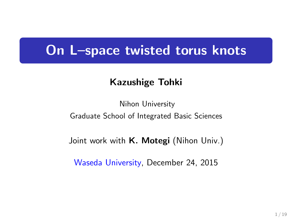# **On L–space twisted torus knots**

## **Kazushige Tohki**

Nihon University Graduate School of Integrated Basic Sciences

Joint work with **K. Motegi** (Nihon Univ.)

Waseda University, December 24, 2015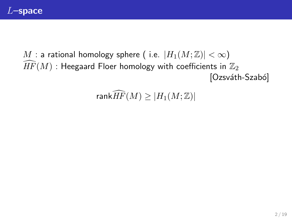*M* : a rational homology sphere ( i.e.  $|H_1(M;\mathbb{Z})| < \infty$ )  $HF(M)$  : Heegaard Floer homology with coefficients in  $\mathbb{Z}_2$ [Ozsváth-Szabó]

## $rank\widehat{HF}(M) \geq |H_1(M;\mathbb{Z})|$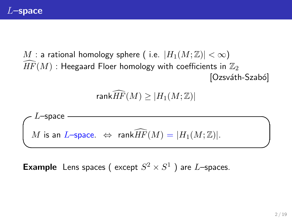*M* : a rational homology sphere ( i.e.  $|H_1(M; \mathbb{Z})| < \infty$ )  $\overline{HF}(M)$  : Heegaard Floer homology with coefficients in  $\mathbb{Z}_2$  $[Ozsváth-Szabó]$ 

 $rank\widehat{HF}(M) \geq |H_1(M;\mathbb{Z})|$ 



**Example** Lens spaces (except  $S^2 \times S^1$ ) are *L*-spaces.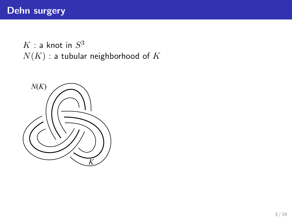$K:$  a knot in  $S^3$ *N*(*K*) : a tubular neighborhood of *K*

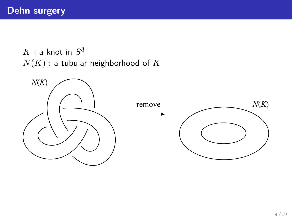$K:$  a knot in  $S^3$ *N*(*K*) : a tubular neighborhood of *K*

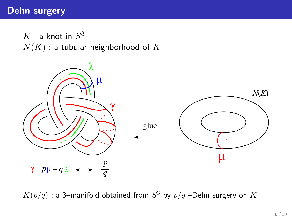## **Dehn surgery**

 $K:$  a knot in  $S^3$ *N*(*K*) : a tubular neighborhood of *K*



 $K(p/q)$  : a 3–manifold obtained from  $S^3$  by  $p/q$  –Dehn surgery on  $K$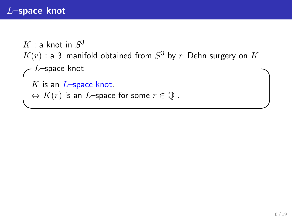## *L***–space knot**

```
K: a knot in S^3K(r) : a 3–manifold obtained from S^3 by r–Dehn surgery on K✓L–space knot ✏
K is an L–space knot.
\Leftrightarrow K(r) is an L–space for some r \in \mathbb{Q} .
```
**✒ ✑**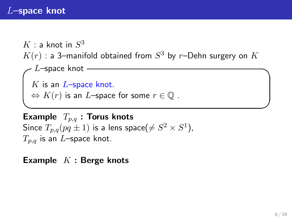## *L***–space knot**

```
K: a knot in S^3K(r) : a 3–manifold obtained from S^3 by r–Dehn surgery on K✓L–space knot ✏
K is an L–space knot.
\Leftrightarrow K(r) is an L–space for some r \in \mathbb{Q} .
```
**✒ ✑ Example** *Tp,q* **: Torus knots** Since  $T_{p,q}(pq\pm 1)$  is a lens space $(\neq S^2\times S^1)$ , *Tp,q* is an *L*–space knot.

**Example** *K* **: Berge knots**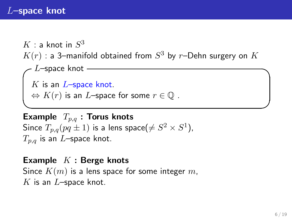## *L***–space knot**

```
K: a knot in S^3K(r) : a 3–manifold obtained from S^3 by r–Dehn surgery on K✓L–space knot ✏
K is an L–space knot.
\Leftrightarrow K(r) is an L–space for some r \in \mathbb{Q} .
```
**✒ ✑ Example** *Tp,q* **: Torus knots** Since  $T_{p,q}(pq\pm 1)$  is a lens space $(\neq S^2\times S^1)$ , *Tp,q* is an *L*–space knot.

**Example** *K* **: Berge knots** Since *K*(*m*) is a lens space for some integer *m*, *K* is an *L*–space knot.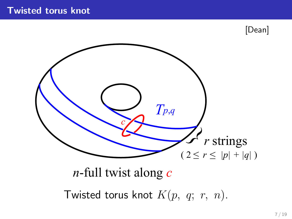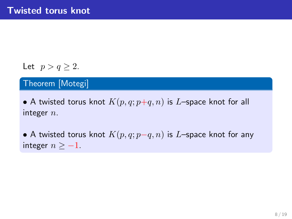## Let  $p > q \geq 2$ .

## Theorem [Motegi]

• A twisted torus knot  $K(p, q; p+q, n)$  is *L*–space knot for all integer *n*.

*•* A twisted torus knot *K*(*p, q*; *p−q, n*) is *L*–space knot for any integer  $n \ge -1$ .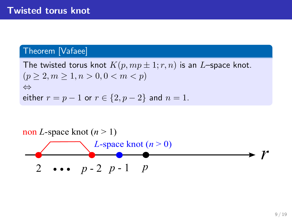#### Theorem [Vafaee]

The twisted torus knot  $K(p, mp \pm 1; r, n)$  is an *L*–space knot.  $(p > 2, m > 1, n > 0, 0 < m < p)$ *⇔* either  $r = p - 1$  or  $r \in \{2, p - 2\}$  and  $n = 1$ .

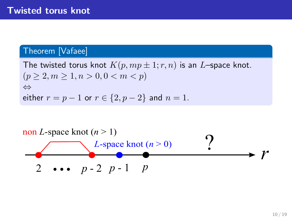#### Theorem [Vafaee]

The twisted torus knot  $K(p, mp \pm 1; r, n)$  is an *L*–space knot.  $(p > 2, m > 1, n > 0, 0 < m < p)$ *⇔* either  $r = p - 1$  or  $r \in \{2, p - 2\}$  and  $n = 1$ .

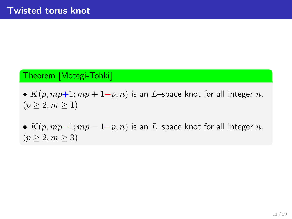#### Theorem [Motegi-Tohki]

*• K*(*p, mp*+1; *mp* + 1*−p, n*) is an *L*–space knot for all integer *n*.  $(p \geq 2, m \geq 1)$ 

•  $K(p, mp-1; mp-1-p, n)$  is an *L*–space knot for all integer *n*.  $(p \ge 2, m \ge 3)$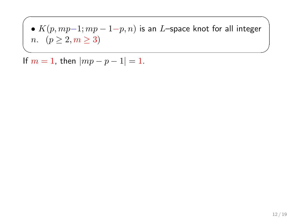*• K*(*p, mp−*1; *mp −* 1*−p, n*) is an *L*–space knot for all integer *n*.  $(p \ge 2, m \ge 3)$ 

✓ ✏

✒ ✑ If  $m = 1$ , then  $|mp - p - 1| = 1$ .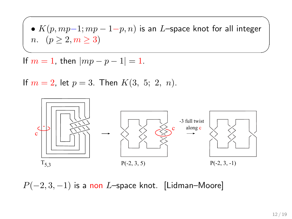• 
$$
K(p, mp-1; mp - 1-p, n)
$$
 is an *L*-space knot for all integer   
*n*.  $(p \ge 2, m \ge 3)$ 

✓ ✏

✒ ✑

If  $m = 1$ , then  $|mp - p - 1| = 1$ .

If  $m = 2$ , let  $p = 3$ . Then  $K(3, 5; 2, n)$ .



*P*( $-2$ , 3*,* −1) is a non *L*–space knot. [Lidman–Moore]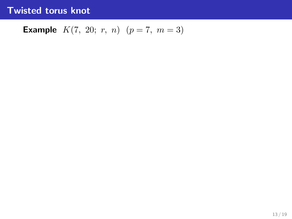## **Twisted torus knot**

## **Example**  $K(7, 20; r, n)$   $(p = 7, m = 3)$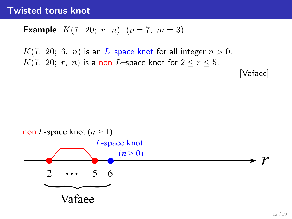### **Twisted torus knot**

**Example** 
$$
K(7, 20; r, n)
$$
  $(p = 7, m = 3)$ 

 $K(7, 20; 6, n)$  is an *L*–space knot for all integer  $n > 0$ . *K*(7, 20; *r*, *n*) is a non *L*–space knot for  $2 \le r \le 5$ .

[Vafaee]

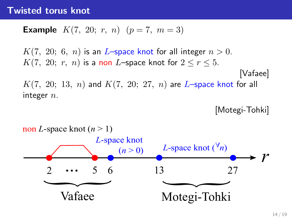## **Twisted torus knot**

**Example** 
$$
K(7, 20; r, n)
$$
  $(p = 7, m = 3)$ 

 $K(7, 20; 6, n)$  is an *L*–space knot for all integer  $n > 0$ . *K*(7, 20; *r*, *n*) is a non *L*–space knot for  $2 \le r \le 5$ . [Vafaee]  $K(7, 20; 13, n)$  and  $K(7, 20; 27, n)$  are *L*–space knot for all integer *n*.

[Motegi-Tohki]

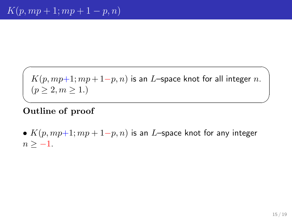$\sqrt{2\pi i}$ *K*(*p, mp*+1; *mp* + 1*−p, n*) is an *L*–space knot for all integer *n*.  $(p \geq 2, m \geq 1)$ 

#### ✒ ✑ **Outline of proof**

*• K*(*p, mp*+1; *mp* + 1*−p, n*) is an *L*–space knot for any integer  $n > -1$ .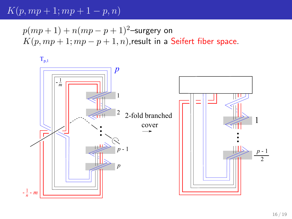$$
K(p,mp+1;mp+1-p,n)
$$

 $p(mp+1) + n(mp-p+1)^2$ –surgery on  $K(p, mp + 1; mp - p + 1, n)$ , result in a Seifert fiber space.

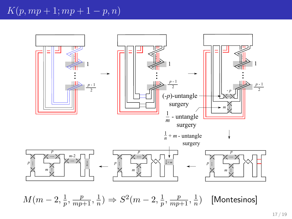

 $M(m-2, \frac{1}{n})$  $\frac{1}{p}$ *,*  $\frac{p}{mp+1}$ *,*  $\frac{1}{n}$  $\frac{1}{n}$ )  $\Rightarrow$   $S^2(m-2, \frac{1}{p})$  $\frac{1}{p}$ *,*  $\frac{p}{mp+1}$ *,*  $\frac{1}{n}$  $\frac{1}{n}$ ) [Montesinos]